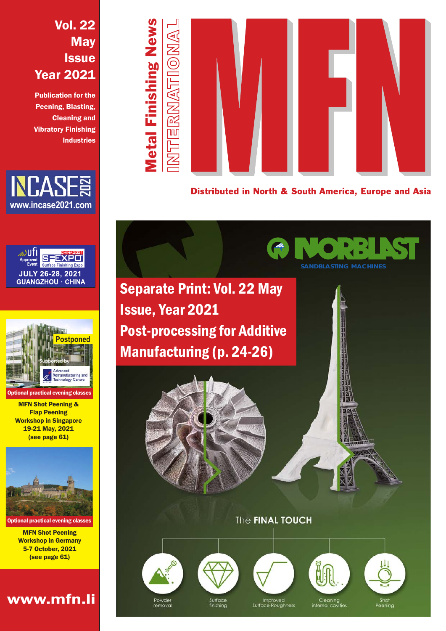### Vol. 22 **May Issue** Year 2021

Publication for the Peening, Blasting, Cleaning and Vibratory Finishing **Industries** 



∋lit EXPO **Surface Finishing Expo JULY 26-28, 2021 GUANGZHOU · CHINA** 



MFN Shot Peening & Flap Peening Workshop in Singapore 19-21 May, 2021 (see page 61)



MFN Shot Peening Workshop in Germany 5-7 October, 2021 (see page 61)

www.mfn.li



Distributed in North & South America, Europe and Asia

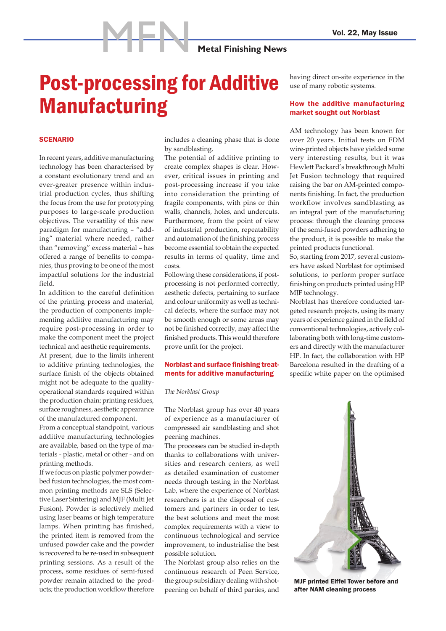**MRANGE METAL Metal Finishing News** 

### Post-processing for Additive Manufacturing

### **SCENARIO**

In recent years, additive manufacturing technology has been characterised by a constant evolutionary trend and an ever-greater presence within industrial production cycles, thus shifting the focus from the use for prototyping purposes to large-scale production objectives. The versatility of this new paradigm for manufacturing – "adding" material where needed, rather than "removing" excess material – has offered a range of benefits to companies, thus proving to be one of the most impactful solutions for the industrial field.

In addition to the careful definition of the printing process and material, the production of components implementing additive manufacturing may require post-processing in order to make the component meet the project technical and aesthetic requirements.

At present, due to the limits inherent to additive printing technologies, the surface finish of the objects obtained might not be adequate to the qualityoperational standards required within the production chain: printing residues, surface roughness, aesthetic appearance of the manufactured component.

From a conceptual standpoint, various additive manufacturing technologies are available, based on the type of materials - plastic, metal or other - and on printing methods.

If we focus on plastic polymer powderbed fusion technologies, the most common printing methods are SLS (Selective Laser Sintering) and MJF (Multi Jet Fusion). Powder is selectively melted using laser beams or high temperature lamps. When printing has finished, the printed item is removed from the unfused powder cake and the powder is recovered to be re-used in subsequent printing sessions. As a result of the process, some residues of semi-fused powder remain attached to the products; the production workflow therefore includes a cleaning phase that is done by sandblasting.

The potential of additive printing to create complex shapes is clear. However, critical issues in printing and post-processing increase if you take into consideration the printing of fragile components, with pins or thin walls, channels, holes, and undercuts. Furthermore, from the point of view of industrial production, repeatability and automation of the finishing process become essential to obtain the expected results in terms of quality, time and costs.

Following these considerations, if postprocessing is not performed correctly, aesthetic defects, pertaining to surface and colour uniformity as well as technical defects, where the surface may not be smooth enough or some areas may not be finished correctly, may affect the finished products. This would therefore prove unfit for the project.

### Norblast and surface finishing treatments for additive manufacturing

#### *The Norblast Group*

The Norblast group has over 40 years of experience as a manufacturer of compressed air sandblasting and shot peening machines.

The processes can be studied in-depth thanks to collaborations with universities and research centers, as well as detailed examination of customer needs through testing in the Norblast Lab, where the experience of Norblast researchers is at the disposal of customers and partners in order to test the best solutions and meet the most complex requirements with a view to continuous technological and service improvement, to industrialise the best possible solution.

The Norblast group also relies on the continuous research of Peen Service, the group subsidiary dealing with shotpeening on behalf of third parties, and having direct on-site experience in the use of many robotic systems.

### How the additive manufacturing market sought out Norblast

AM technology has been known for over 20 years. Initial tests on FDM wire-printed objects have yielded some very interesting results, but it was Hewlett Packard's breakthrough Multi Jet Fusion technology that required raising the bar on AM-printed components finishing. In fact, the production workflow involves sandblasting as an integral part of the manufacturing process: through the cleaning process of the semi-fused powders adhering to the product, it is possible to make the printed products functional.

So, starting from 2017, several customers have asked Norblast for optimised solutions, to perform proper surface finishing on products printed using HP MJF technology.

Norblast has therefore conducted targeted research projects, using its many years of experience gained in the field of conventional technologies, actively collaborating both with long-time customers and directly with the manufacturer HP. In fact, the collaboration with HP Barcelona resulted in the drafting of a specific white paper on the optimised



MJF printed Eiffel Tower before and after NAM cleaning process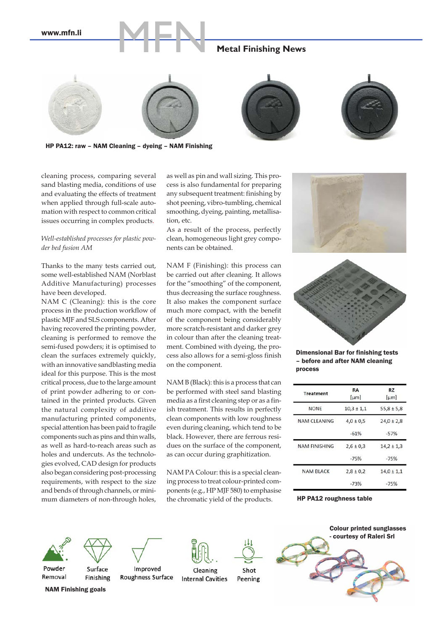www.mfn.li

# **MRANGE METALER METALER METALER NEWS**







HP PA12: raw – NAM Cleaning – dyeing – NAM Finishing

cleaning process, comparing several sand blasting media, conditions of use and evaluating the effects of treatment when applied through full-scale automation with respect to common critical issues occurring in complex products.

### *Well-established processes for plastic powder bed fusion AM*

Thanks to the many tests carried out, some well-established NAM (Norblast Additive Manufacturing) processes have been developed.

NAM C (Cleaning): this is the core process in the production workflow of plastic MJF and SLS components. After having recovered the printing powder, cleaning is performed to remove the semi-fused powders; it is optimised to clean the surfaces extremely quickly, with an innovative sandblasting media ideal for this purpose. This is the most critical process, due to the large amount of print powder adhering to or contained in the printed products. Given the natural complexity of additive manufacturing printed components, special attention has been paid to fragile components such as pins and thin walls, as well as hard-to-reach areas such as holes and undercuts. As the technologies evolved, CAD design for products also began considering post-processing requirements, with respect to the size and bends of through channels, or minimum diameters of non-through holes,

as well as pin and wall sizing. This process is also fundamental for preparing any subsequent treatment: finishing by shot peening, vibro-tumbling, chemical smoothing, dyeing, painting, metallisation, etc.

As a result of the process, perfectly clean, homogeneous light grey components can be obtained.

NAM F (Finishing): this process can be carried out after cleaning. It allows for the "smoothing" of the component, thus decreasing the surface roughness. It also makes the component surface much more compact, with the benefit of the component being considerably more scratch-resistant and darker grey in colour than after the cleaning treatment. Combined with dyeing, the process also allows for a semi-gloss finish on the component.

NAM B (Black): this is a process that can be performed with steel sand blasting media as a first cleaning step or as a finish treatment. This results in perfectly clean components with low roughness even during cleaning, which tend to be black. However, there are ferrous residues on the surface of the component, as can occur during graphitization.

NAM PA Colour: this is a special cleaning process to treat colour-printed components (e.g., HP MJF 580) to emphasise the chromatic yield of the products.





Dimensional Bar for finishing tests – before and after NAM cleaning process

| <b>Treatment</b>     | <b>RA</b><br>[µm] | RZ<br>[µm]     |
|----------------------|-------------------|----------------|
| <b>NONE</b>          | $10,3 \pm 1,1$    | $55,8 \pm 5,8$ |
| <b>NAM CLEANING</b>  | $4.0 \pm 0.5$     | $24.0 \pm 2.8$ |
|                      | $-61%$            | $-57%$         |
| <b>NAM FINISHING</b> | $2.6 \pm 0.3$     | $14,2 \pm 1,3$ |
|                      | $-75%$            | $-75%$         |
| <b>NAM BLACK</b>     | $2.8 \pm 0.2$     | $14.0 \pm 1.1$ |
|                      | $-73%$            | $-75%$         |

HP PA12 roughness table





Surface

Finishing

Powder Removal

NAM Finishing goals

Improved Roughness Surface



Cleaning

Shot **Internal Cavities** Peening